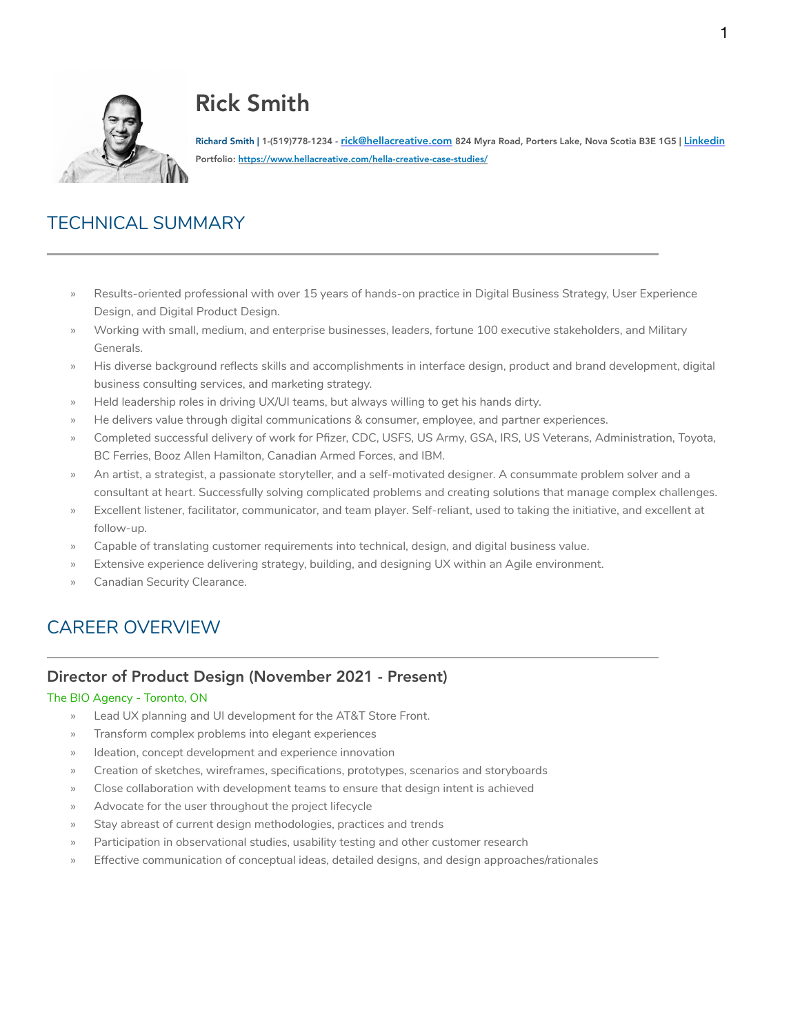

# Rick Smith

Richard Smith | 1-(519)778-1234 - <u>rick@hellacreative.com</u> 824 Myra Road, Porters Lake, Nova Scotia B3E 1G5 | <u>[Linkedin](https://www.linkedin.com/in/richard-smith-kitchener/)</u><br>Portfolio: <u>https://www.hellacreative.com/hella-creative-case-studies/</u>

## TECHNICAL SUMMARY

- » Results-oriented professional with over 15 years of hands-on practice in Digital Business Strategy, User Experience Design, and Digital Product Design.
- » Working with small, medium, and enterprise businesses, leaders, fortune 100 executive stakeholders, and Military Generals.
- » His diverse background reflects skills and accomplishments in interface design, product and brand development, digital business consulting services, and marketing strategy.
- » Held leadership roles in driving UX/UI teams, but always willing to get his hands dirty.
- » He delivers value through digital communications & consumer, employee, and partner experiences.
- » Completed successful delivery of work for Pfizer, CDC, USFS, US Army, GSA, IRS, US Veterans, Administration, Toyota, BC Ferries, Booz Allen Hamilton, Canadian Armed Forces, and IBM.
- » An artist, a strategist, a passionate storyteller, and a self-motivated designer. A consummate problem solver and a consultant at heart. Successfully solving complicated problems and creating solutions that manage complex challenges.
- » Excellent listener, facilitator, communicator, and team player. Self-reliant, used to taking the initiative, and excellent at follow-up.
- » Capable of translating customer requirements into technical, design, and digital business value.
- Extensive experience delivering strategy, building, and designing UX within an Agile environment.
- » Canadian Security Clearance.

# CAREER OVERVIEW

### Director of Product Design (November 2021 - Present)

#### The BIO Agency - Toronto, ON

- » Lead UX planning and UI development for the AT&T Store Front.
- » Transform complex problems into elegant experiences
- » Ideation, concept development and experience innovation
- » Creation of sketches, wireframes, specifications, prototypes, scenarios and storyboards
- » Close collaboration with development teams to ensure that design intent is achieved
- Advocate for the user throughout the project lifecycle
- Stay abreast of current design methodologies, practices and trends
- » Participation in observational studies, usability testing and other customer research
- » Effective communication of conceptual ideas, detailed designs, and design approaches/rationales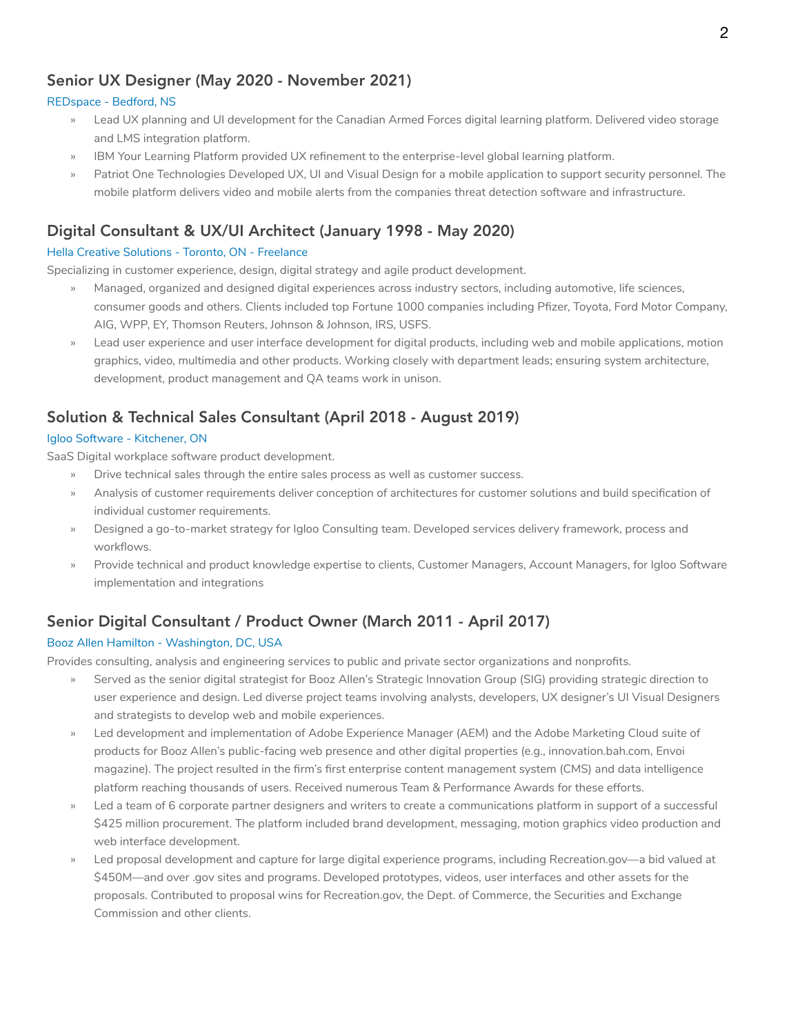## Senior UX Designer (May 2020 - November 2021)

#### REDspace - Bedford, NS

- » Lead UX planning and UI development for the Canadian Armed Forces digital learning platform. Delivered video storage and LMS integration platform.
- IBM Your Learning Platform provided UX refinement to the enterprise-level global learning platform.
- Patriot One Technologies Developed UX, UI and Visual Design for a mobile application to support security personnel. The mobile platform delivers video and mobile alerts from the companies threat detection software and infrastructure.

## Digital Consultant & UX/UI Architect (January 1998 - May 2020)

#### Hella Creative Solutions - Toronto, ON - Freelance

Specializing in customer experience, design, digital strategy and agile product development.

- » Managed, organized and designed digital experiences across industry sectors, including automotive, life sciences, consumer goods and others. Clients included top Fortune 1000 companies including Pfizer, Toyota, Ford Motor Company, AIG, WPP, EY, Thomson Reuters, Johnson & Johnson, IRS, USFS.
- » Lead user experience and user interface development for digital products, including web and mobile applications, motion graphics, video, multimedia and other products. Working closely with department leads; ensuring system architecture, development, product management and QA teams work in unison.

## Solution & Technical Sales Consultant (April 2018 - August 2019)

#### Igloo Software - Kitchener, ON

SaaS Digital workplace software product development.

- » Drive technical sales through the entire sales process as well as customer success.
- » Analysis of customer requirements deliver conception of architectures for customer solutions and build specification of individual customer requirements.
- » Designed a go-to-market strategy for Igloo Consulting team. Developed services delivery framework, process and workflows.
- » Provide technical and product knowledge expertise to clients, Customer Managers, Account Managers, for Igloo Software implementation and integrations

## Senior Digital Consultant / Product Owner (March 2011 - April 2017)

#### Booz Allen Hamilton - Washington, DC, USA

Provides consulting, analysis and engineering services to public and private sector organizations and nonprofits.

- » Served as the senior digital strategist for Booz Allen's Strategic Innovation Group (SIG) providing strategic direction to user experience and design. Led diverse project teams involving analysts, developers, UX designer's UI Visual Designers and strategists to develop web and mobile experiences.
- » Led development and implementation of Adobe Experience Manager (AEM) and the Adobe Marketing Cloud suite of products for Booz Allen's public-facing web presence and other digital properties (e.g., innovation.bah.com, Envoi magazine). The project resulted in the firm's first enterprise content management system (CMS) and data intelligence platform reaching thousands of users. Received numerous Team & Performance Awards for these efforts.
- » Led a team of 6 corporate partner designers and writers to create a communications platform in support of a successful \$425 million procurement. The platform included brand development, messaging, motion graphics video production and web interface development.
- » Led proposal development and capture for large digital experience programs, including Recreation.gov—a bid valued at \$450M—and over .gov sites and programs. Developed prototypes, videos, user interfaces and other assets for the proposals. Contributed to proposal wins for Recreation.gov, the Dept. of Commerce, the Securities and Exchange Commission and other clients.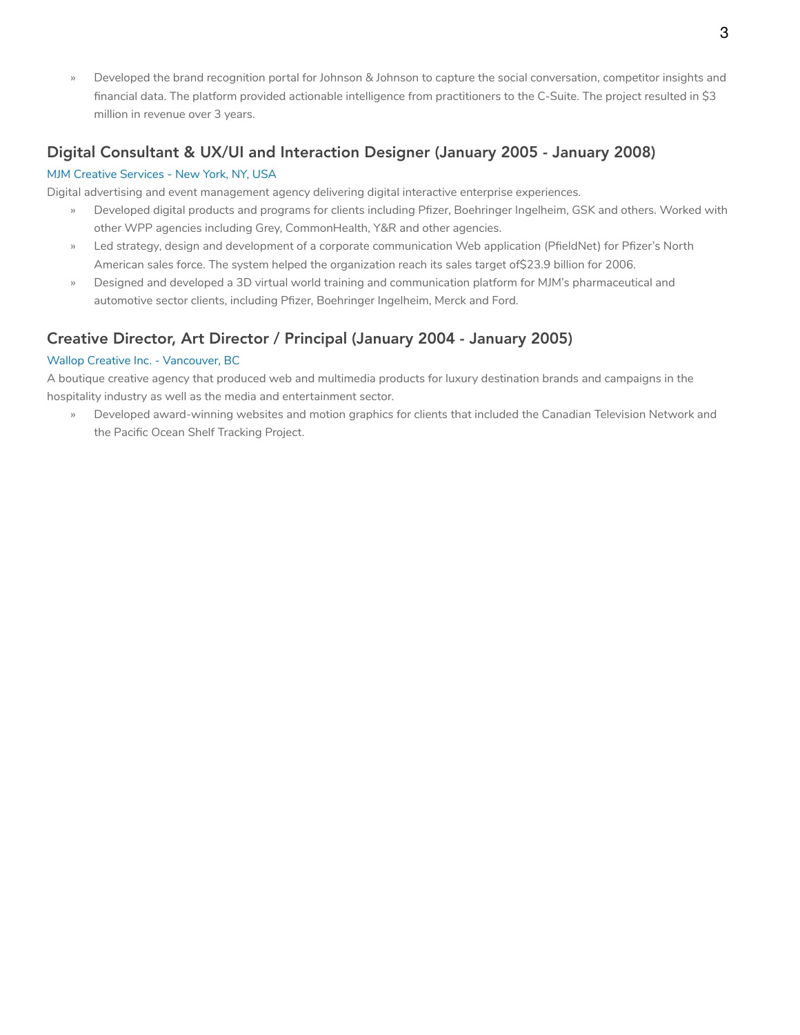» Developed the brand recognition portal for Johnson & Johnson to capture the social conversation, competitor insights and financial data. The platform provided actionable intelligence from practitioners to the C-Suite. The project resulted in \$3 million in revenue over 3 years.

## Digital Consultant & UX/UI and Interaction Designer (January 2005 - January 2008)

#### MJM Creative Services - New York, NY, USA

Digital advertising and event management agency delivering digital interactive enterprise experiences.

- » Developed digital products and programs for clients including Pfizer, Boehringer Ingelheim, GSK and others. Worked with other WPP agencies including Grey, CommonHealth, Y&R and other agencies.
- » Led strategy, design and development of a corporate communication Web application (PfieldNet) for Pfizer's North American sales force. The system helped the organization reach its sales target of \$23.9 billion for 2006.
- » Designed and developed a 3D virtual world training and communication platform for MJM's pharmaceutical and automotive sector clients, including Pfizer, Boehringer Ingelheim, Merck and Ford.

## Creative Director, Art Director / Principal (January 2004 - January 2005)

#### Wallop Creative Inc. - Vancouver, BC

A boutique creative agency that produced web and multimedia products for luxury destination brands and campaigns in the hospitality industry as well as the media and entertainment sector.

» Developed award-winning websites and motion graphics for clients that included the Canadian Television Network and the Pacific Ocean Shelf Tracking Project.